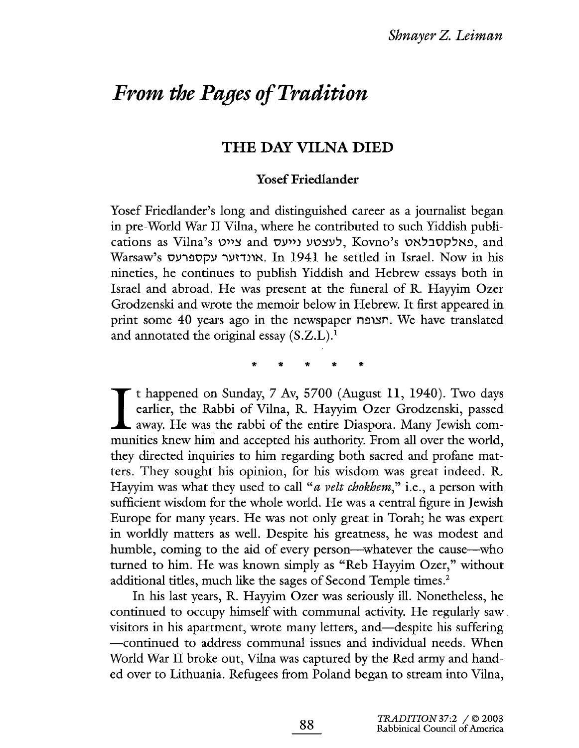# From the Pages of Tradition

## THE DAY VILNA DIED

### Yosef Friedlander

Yosef Friedlander's long and distinguished career as a journalist began in pre-World War II Vilna, where he contributed to such Yiddish publications as Vilna's פאלקסבלאט, Kovno's לעצטע נייעס, and Warsaw's אונדזער עקספרעס. In 1941 he settled in Israel. Now in his nineties, he continues to publish Yiddish and Hebrew essays both in Israel and abroad. He was present at the funeral of R. Hayyim Ozer Grodzenski and wrote the memoir below in Hebrew. It fist appeared in print some 40 years ago in the newspaper הצופה. We have translated and annotated the original essay  $(S.Z.L.).$ 

'i 'i 'i 'i 'i

t happened on Sunday, 7 Av, 5700 (August 11, 1940). Two days earlier, the Rabbi of Vilna, R. Hayyim Ozer Grodzenski, passed **L** away. He was the rabbi of the entire Diaspora. Many Jewish communities knew him and accepted his authority. From all over the world, they directed inquiries to him regarding both sacred and profane matters. They sought his opinion, for his wisdom was great indeed. R. Hayyim was what they used to call "*a velt chokhem*," i.e., a person with sufficient wisdom for the whole world. He was a central figure in Jewish Europe for many years. He was not only great in Torah; he was expert in worldly matters as well. Despite his greatness, he was modest and humble, coming to the aid of every person—whatever the cause—who tuned to him. He was known simply as "Reb Hayym Ozer," without additional titles, much like the sages of Second Temple times.<sup>2</sup>

In his last years, R. Hayyim Ozer was seriously il. Nonetheless, he continued to occupy himself with communal activity. He regularly saw visitors in his apartment, wrote many letters, and—despite his suffering -continued to address communal issues and individual needs. When World War II broke out, Vilna was captured by the Red army and handed over to Lithuania. Refugees from Poland began to stream into Vilna,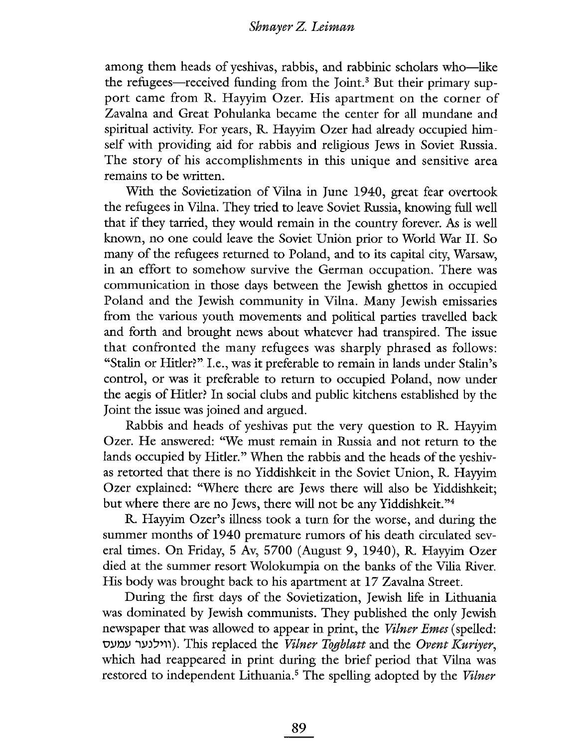among them heads of yeshivas, rabbis, and rabbinic scholars who-like the refugees—received funding from the Joint.<sup>3</sup> But their primary support came from R. Hayyim Ozer. His apartment on the corner of Zavalna and Great Pohulanka became the center for all mundane and spiritual activity. For years, R. Hayyim Ozer had already occupied himself with providig aid for rabbis and religious Jews in Soviet Russia. The story of his accomplishments in this unique and sensitive area remains to be written.

With the Sovietization of Vilna in June 1940, great fear overtook the refugees in Vilna. They tried to leave Soviet Russia, knowing full well that if they tarried, they would remain in the country forever. As is well known, no one could leave the Soviet Union prior to World War II. So many of the refugees returned to Poland, and to its capital city, Warsaw, in an effort to somehow survive the German occupation. There was communication in those days between the Jewish ghettos in occupied Poland and the Jewish community in Vilna. Many Jewish emissaries from the various youth movements and political parties travelled back and forth and brought news about whatever had transpired. The issue that confronted the many refugees was sharply phrased as follows: "Stalin or Hitler?" I.e., was it preferable to remain in lands under Stalin's control, or was it preferable to retun to occupied Poland, now under the aegis of Hitler? In social clubs and public kitchens established by the Joint the issue was joined and argued.

Rabbis and heads of yeshivas put the very question to R. Hayyim Ozer. He answered: "We must remain in Russia and not return to the lands occupied by Hitler." When the rabbis and the heads of the yeshivas retorted that there is no Yiddishkeit in the Soviet Union, R. Hayyim Ozer explained: "Where there are Jews there will also be Yiddishkeit; but where there are no Jews, there will not be any Yiddishkeit."<sup>4</sup>

R. Hayyim Ozer's ilness took a turn for the worse, and during the summer months of 1940 premature rumors of his death circulated several times. On Friday, 5 Av, 5700 (August 9, 1940), R. Hayyim Ozer died at the summer resort Wolokumpia on the banks of the Vilia River. His body was brought back to his apartment at 17 Zavalna Street.

During the first days of the Sovietization, Jewish life in Lithuania was domiated by Jewish communists. They published the only Jewish newspaper that was allowed to appear in print, the *Vilner Emes* (spelled: ווילנער עמעס). This replaced the *Vilner Togblatt* and the Ovent Kuriyer, which had reappeared in print during the brief period that Vilna was restored to independent Lithuania.<sup>5</sup> The spelling adopted by the Vilner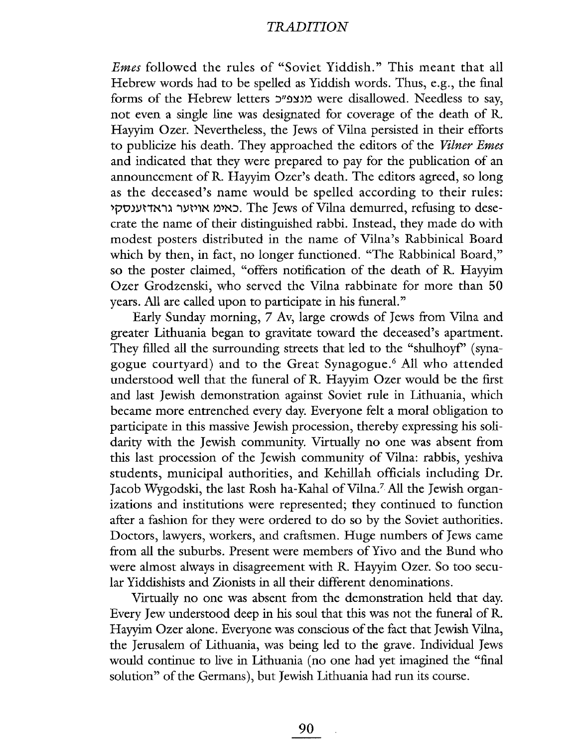### **TRADITION**

Emes followed the rules of "Soviet Yiddish." This meant that all Hebrew words had to be spelled as Yiddish words. Thus, e.g., the final forms of the Hebrew letters מנצפ"כ were disallowed. Needless to say, not even a single line was designated for coverage of the death of R. Hayym Ozer. Nevertheless, the Jews of Vilna persisted in their efforts to publicize his death. They approached the editors of the Vilner Emes and indicated that they were prepared to pay for the publication of an announcement of R. Hayyim Ozer's death. The editors agreed, so long as the deceased's name would be spelled according to their rules: 'pO)ynNi) iyt'1N ~'NJ. The Jews ofVila demurred, refusing to desecrate the name of their distinguished rabbi. Instead, they made do with modest posters distributed in the name of Vilna's Rabbinical Board which by then, in fact, no longer functioned. "The Rabbinical Board," so the poster claimed, "offers notification of the death of R. Hayyim Ozer Grodzenski, who served the Vilna rabbinate for more than 50 years. All are called upon to participate in his funeral."

Early Sunday morning, 7 Av, large crowds of Jews from Vilna and greater Lithuania began to gravitate toward the deceased's apartment. They filled all the surrounding streets that led to the "shulhoyf" (synagogue courtyard) and to the Great Synagogue.6 All who attended understood well that the funeral of R. Hayyim Ozer would be the first and last Jewish demonstration against Soviet rule in Lithuania, which became more entrenched every day. Everyone felt a moral obligation to participate in this massive Jewish procession, thereby expressing his solidarity with the Jewish community. Virtually no one was absent from this last procession of the Jewish community of Vilna: rabbis, yeshiva students, municipal authorities, and Kehillah officials including Dr. Jacob Wygodski, the last Rosh ha-Kahal of Vilna.<sup>7</sup> All the Jewish organizations and institutions were represented; they continued to function after a fashion for they were ordered to do so by the Soviet authorities. Doctors, lawyers, workers, and crafsmen. Huge numbers of Jews came from all the suburbs. Present were members of Yivo and the Bund who were almost always in disagreement with R. Hayyim Ozer. So too secular Yiddishists and Zionists in all their different denominations.

Virtualy no one was absent from the demonstration held that day. Every Jew understood deep in his soul that this was not the funeral of R. Hayyim Ozer alone. Everyone was conscious of the fact that Jewish Vilna, the Jerusalem of Lithuania, was being led to the grave. Individual Jews would continue to live in Lithuania (no one had yet imagined the "final solution" of the Germans), but Jewish Lithuania had run its course.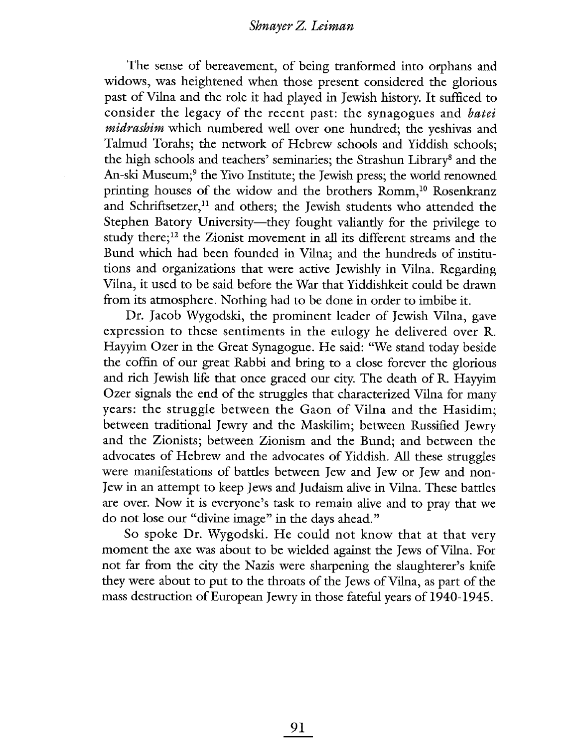#### Shnayer Z. Leiman

The sense of bereavement, of being tranformed into orphans and widows, was heightened when those present considered the glorious past of Vila and the role it had played in Jewish history. It sufficed to consider the legacy of the recent past: the synagogues and batei midrashim which numbered well over one hundred; the yeshivas and Talmud Torahs; the network of Hebrew schools and Yiddish schools; the high schools and teachers' seminaries; the Strashun Library<sup>8</sup> and the An-ski Museum;<sup>9</sup> the Yivo Institute; the Jewish press; the world renowned printing houses of the widow and the brothers Romm,<sup>10</sup> Rosenkranz and Schriftsetzer,<sup>11</sup> and others; the Jewish students who attended the Stephen Batory University—they fought valiantly for the privilege to study there; $^{12}$  the Zionist movement in all its different streams and the Bund which had been founded in Vilna; and the hundreds of institutions and organizations that were active Jewishly in Vilna. Regarding Vilna, it used to be said before the War that Yiddishkeit could be drawn from its atmosphere. Nothing had to be done in order to imbibe it.

Dr. Jacob Wygodski, the prominent leader of Jewish Vilna, gave expression to these sentiments in the eulogy he delivered over R. Hayyim Ozer in the Great Synagogue. He said: "We stand today beside the coffin of our great Rabbi and bring to a close forever the glorious and rich Jewish life that once graced our city. The death of R. Hayyim Ozer signals the end of the struggles that characterized Vilna for many years: the struggle between the Gaon of Vilna and the Hasidim; between traditional Jewry and the Maskim; between Russified Jewry and the Zionists; between Zionism and the Bund; and between the advocates of Hebrew and the advocates of Yiddish. All these struggles were manfestations of battles between Jew and Jew or Jew and non-Jew in an attempt to keep Jews and Judaism alve in Vilna. These battles are over. Now it is everyone's task to remain alive and to pray that we do not lose our "divine image" in the days ahead."

So spoke Dr. Wygodski. He could not know that at that very moment the axe was about to be wielded agaist the Jews of Vila. For not far from the city the Nazis were sharpening the slaughterer's knife they were about to put to the throats of the Jews of Vilna, as part of the mass destruction of European Jewry in those fateful years of 1940-1945.